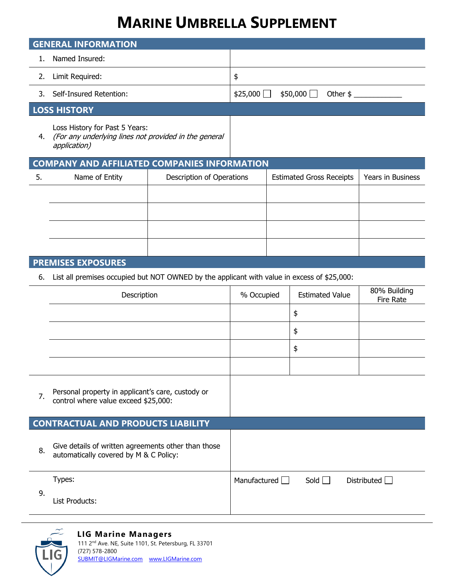## **MARINE UMBRELLA SUPPLEMENT**

|    | <b>GENERAL INFORMATION</b>                                                                              |                           |                     |              |                                         |                                  |
|----|---------------------------------------------------------------------------------------------------------|---------------------------|---------------------|--------------|-----------------------------------------|----------------------------------|
| 1. | Named Insured:                                                                                          |                           |                     |              |                                         |                                  |
| 2. | Limit Required:                                                                                         |                           | \$                  |              |                                         |                                  |
| 3. | Self-Insured Retention:                                                                                 |                           | \$25,000            | $\mathbf{I}$ | $$50,000$ $\Box$<br>Other $\frac{1}{2}$ |                                  |
|    | <b>LOSS HISTORY</b>                                                                                     |                           |                     |              |                                         |                                  |
| 4. | Loss History for Past 5 Years:<br>(For any underlying lines not provided in the general<br>application) |                           |                     |              |                                         |                                  |
|    | <b>COMPANY AND AFFILIATED COMPANIES INFORMATION</b>                                                     |                           |                     |              |                                         |                                  |
| 5. | Name of Entity                                                                                          | Description of Operations |                     |              | <b>Estimated Gross Receipts</b>         | Years in Business                |
|    |                                                                                                         |                           |                     |              |                                         |                                  |
|    |                                                                                                         |                           |                     |              |                                         |                                  |
|    |                                                                                                         |                           |                     |              |                                         |                                  |
|    |                                                                                                         |                           |                     |              |                                         |                                  |
|    | <b>PREMISES EXPOSURES</b>                                                                               |                           |                     |              |                                         |                                  |
| 6. | List all premises occupied but NOT OWNED by the applicant with value in excess of \$25,000:             |                           |                     |              |                                         |                                  |
|    | Description                                                                                             |                           | % Occupied          |              | <b>Estimated Value</b>                  | 80% Building<br><b>Fire Rate</b> |
|    |                                                                                                         |                           |                     |              | \$                                      |                                  |
|    |                                                                                                         |                           |                     |              | \$                                      |                                  |
|    |                                                                                                         |                           |                     |              | \$                                      |                                  |
|    |                                                                                                         |                           |                     |              |                                         |                                  |
| 7. | Personal property in applicant's care, custody or<br>control where value exceed \$25,000:               |                           |                     |              |                                         |                                  |
|    | <b>CONTRACTUAL AND PRODUCTS LIABILITY</b>                                                               |                           |                     |              |                                         |                                  |
| 8. | Give details of written agreements other than those<br>automatically covered by M & C Policy:           |                           |                     |              |                                         |                                  |
|    | Types:                                                                                                  |                           | Manufactured $\Box$ |              | Sold $\Box$                             | Distributed $\Box$               |
| 9. | List Products:                                                                                          |                           |                     |              |                                         |                                  |



111 2nd Ave. NE, Suite 1101, St. Petersburg, FL 33701 (727) 578-2800 [SUBMIT@LIGMarine.com](mailto:SUBMIT@LIGMarine.com) [www.LIGMarine.com](http://www.ligmarine.com/)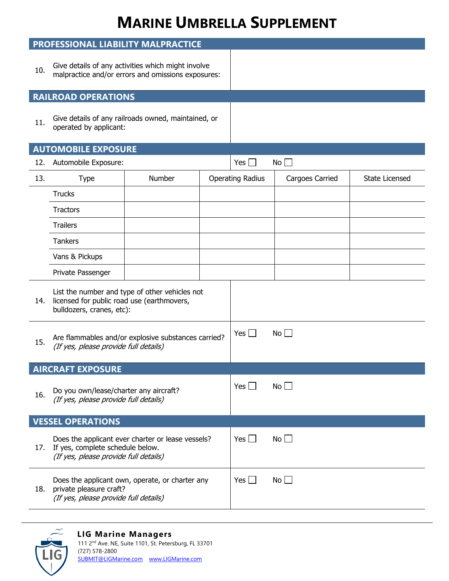#### **MARINE UMBRELLA SUPPLEMENT**

| PROFESSIONAL LIABILITY MALPRACTICE |                                                                                                                                |                                                |                     |                         |                 |                       |  |
|------------------------------------|--------------------------------------------------------------------------------------------------------------------------------|------------------------------------------------|---------------------|-------------------------|-----------------|-----------------------|--|
| 10.                                | Give details of any activities which might involve<br>malpractice and/or errors and omissions exposures:                       |                                                |                     |                         |                 |                       |  |
|                                    | <b>RAILROAD OPERATIONS</b>                                                                                                     |                                                |                     |                         |                 |                       |  |
| 11.                                | Give details of any railroads owned, maintained, or<br>operated by applicant:                                                  |                                                |                     |                         |                 |                       |  |
|                                    | <b>AUTOMOBILE EXPOSURE</b>                                                                                                     |                                                |                     |                         |                 |                       |  |
| 12.                                | Automobile Exposure:                                                                                                           |                                                |                     | Yes $\Box$              | $No$ $\Box$     |                       |  |
| 13.                                | <b>Type</b>                                                                                                                    | Number                                         |                     | <b>Operating Radius</b> | Cargoes Carried | <b>State Licensed</b> |  |
|                                    | <b>Trucks</b>                                                                                                                  |                                                |                     |                         |                 |                       |  |
|                                    | <b>Tractors</b>                                                                                                                |                                                |                     |                         |                 |                       |  |
|                                    | <b>Trailers</b>                                                                                                                |                                                |                     |                         |                 |                       |  |
|                                    | <b>Tankers</b>                                                                                                                 |                                                |                     |                         |                 |                       |  |
|                                    | Vans & Pickups                                                                                                                 |                                                |                     |                         |                 |                       |  |
|                                    | Private Passenger                                                                                                              |                                                |                     |                         |                 |                       |  |
| 14.                                | licensed for public road use (earthmovers,<br>bulldozers, cranes, etc):                                                        | List the number and type of other vehicles not |                     |                         |                 |                       |  |
| 15.                                | Are flammables and/or explosive substances carried?<br>(If yes, please provide full details)                                   |                                                | Yes $\Box$<br>No    |                         |                 |                       |  |
| <b>AIRCRAFT EXPOSURE</b>           |                                                                                                                                |                                                |                     |                         |                 |                       |  |
| 16.                                | Do you own/lease/charter any aircraft?<br>(If yes, please provide full details)                                                |                                                | Yes $\vert$ $\vert$ | $No$ $\Box$             |                 |                       |  |
| <b>VESSEL OPERATIONS</b>           |                                                                                                                                |                                                |                     |                         |                 |                       |  |
| 17.                                | Does the applicant ever charter or lease vessels?<br>If yes, complete schedule below.<br>(If yes, please provide full details) |                                                |                     | Yes $\Box$              | $No$ $\Box$     |                       |  |
| 18.                                | Does the applicant own, operate, or charter any<br>private pleasure craft?<br>(If yes, please provide full details)            |                                                |                     | Yes $\vert \ \vert$     | $No$ $\Box$     |                       |  |
|                                    |                                                                                                                                |                                                |                     |                         |                 |                       |  |



#### **LIG Marine Managers**

111 2nd Ave. NE, Suite 1101, St. Petersburg, FL 33701 (727) 578-2800 [SUBMIT@LIGMarine.com](mailto:SUBMIT@LIGMarine.com) [www.LIGMarine.com](http://www.ligmarine.com/)